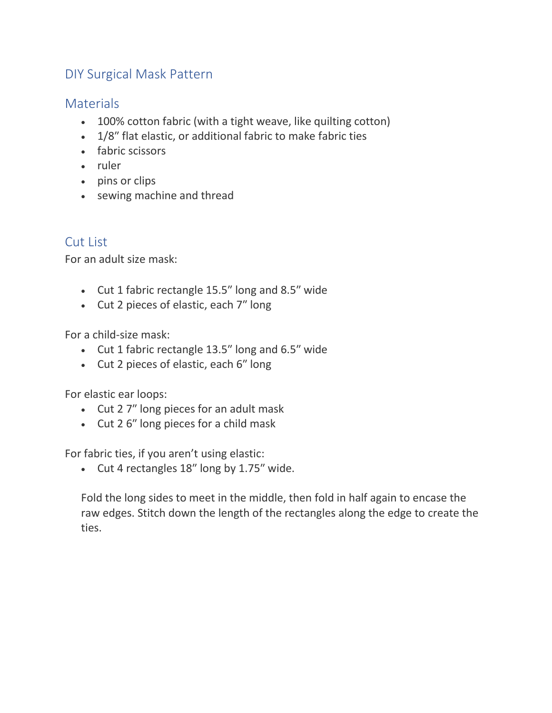# DIY Surgical Mask Pattern

### **Materials**

- 100% cotton fabric (with a tight weave, like quilting cotton)
- 1/8″ flat elastic, or additional fabric to make fabric ties
- fabric scissors
- ruler
- pins or clips
- sewing machine and thread

## Cut List

For an adult size mask:

- Cut 1 fabric rectangle 15.5″ long and 8.5″ wide
- Cut 2 pieces of elastic, each 7″ long

For a child-size mask:

- Cut 1 fabric rectangle 13.5″ long and 6.5″ wide
- Cut 2 pieces of elastic, each 6″ long

For elastic ear loops:

- Cut 2 7″ long pieces for an adult mask
- Cut 2 6″ long pieces for a child mask

For fabric ties, if you aren't using elastic:

• Cut 4 rectangles 18″ long by 1.75″ wide.

Fold the long sides to meet in the middle, then fold in half again to encase the raw edges. Stitch down the length of the rectangles along the edge to create the ties.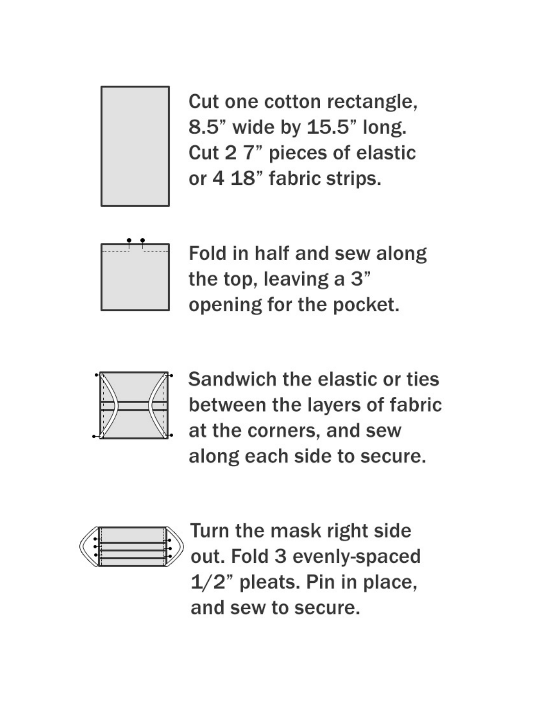

Cut one cotton rectangle, 8.5" wide by 15.5" long. Cut 2 7" pieces of elastic or 4 18" fabric strips.



Fold in half and sew along the top, leaving a 3" opening for the pocket.



Sandwich the elastic or ties between the layers of fabric at the corners, and sew along each side to secure.



Turn the mask right side out. Fold 3 evenly-spaced  $1/2$ " pleats. Pin in place, and sew to secure.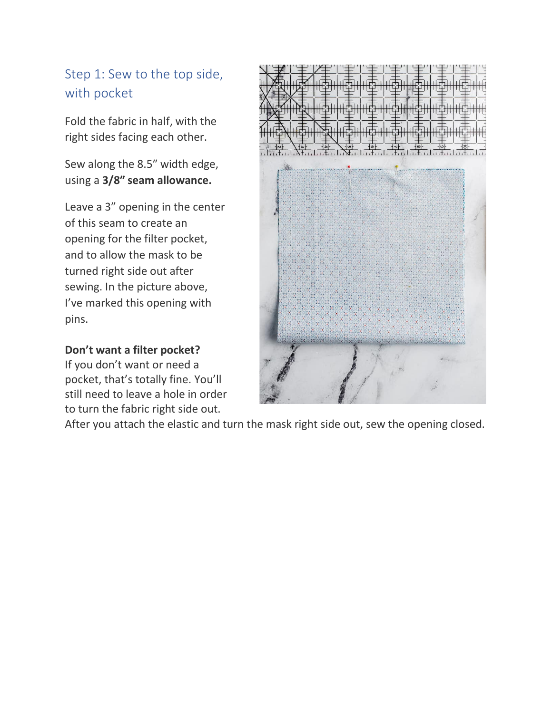# Step 1: Sew to the top side, with pocket

Fold the fabric in half, with the right sides facing each other.

Sew along the 8.5″ width edge, using a **3/8″ seam allowance.**

Leave a 3" opening in the center of this seam to create an opening for the filter pocket, and to allow the mask to be turned right side out after sewing. In the picture above, I've marked this opening with pins.

#### **Don't want a filter pocket?**

If you don't want or need a pocket, that's totally fine. You'll still need to leave a hole in order to turn the fabric right side out.



After you attach the elastic and turn the mask right side out, sew the opening closed.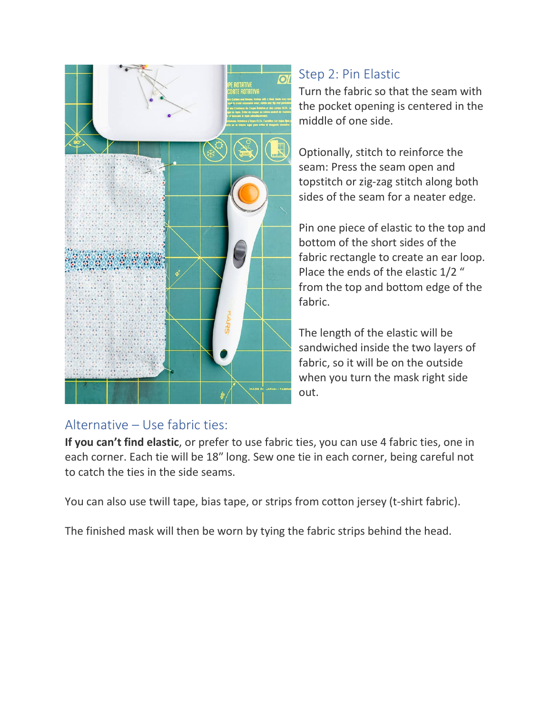

# Step 2: Pin Elastic

Turn the fabric so that the seam with the pocket opening is centered in the middle of one side.

Optionally, stitch to reinforce the seam: Press the seam open and topstitch or zig-zag stitch along both sides of the seam for a neater edge.

Pin one piece of elastic to the top and bottom of the short sides of the fabric rectangle to create an ear loop. Place the ends of the elastic 1/2 " from the top and bottom edge of the fabric.

The length of the elastic will be sandwiched inside the two layers of fabric, so it will be on the outside when you turn the mask right side out.

## Alternative – Use fabric ties:

**If you can't find elastic**, or prefer to use fabric ties, you can use 4 fabric ties, one in each corner. Each tie will be 18″ long. Sew one tie in each corner, being careful not to catch the ties in the side seams.

You can also use twill tape, bias tape, or strips from cotton jersey (t-shirt fabric).

The finished mask will then be worn by tying the fabric strips behind the head.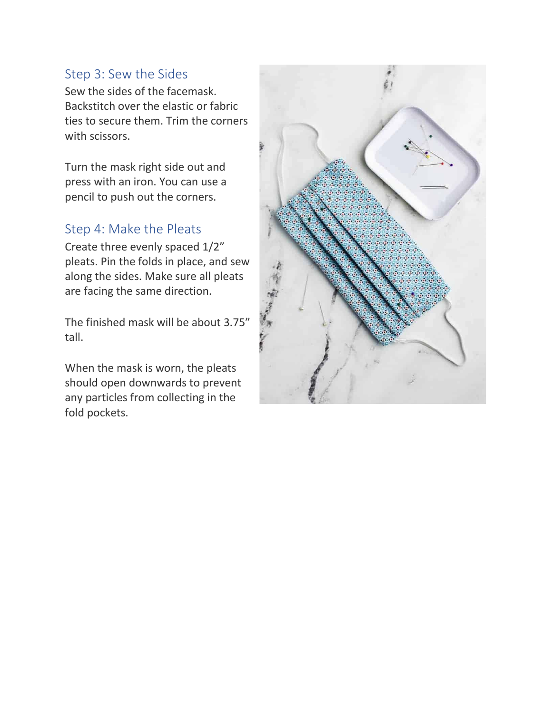#### Step 3: Sew the Sides

Sew the sides of the facemask. Backstitch over the elastic or fabric ties to secure them. Trim the corners with scissors.

Turn the mask right side out and press with an iron. You can use a pencil to push out the corners.

#### Step 4: Make the Pleats

Create three evenly spaced 1/2" pleats. Pin the folds in place, and sew along the sides. Make sure all pleats are facing the same direction.

The finished mask will be about 3.75″ tall.

When the mask is worn, the pleats should open downwards to prevent any particles from collecting in the fold pockets.

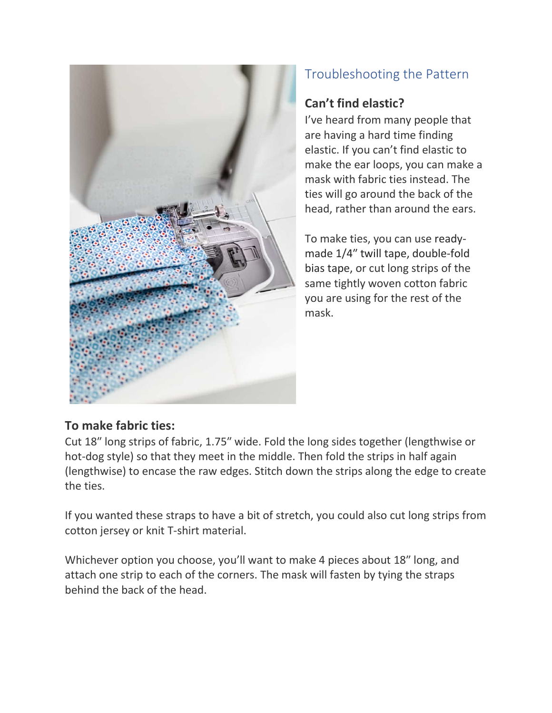

# Troubleshooting the Pattern

# **Can't find elastic?**

I've heard from many people that are having a hard time finding elastic. If you can't find elastic to make the ear loops, you can make a mask with fabric ties instead. The ties will go around the back of the head, rather than around the ears.

To make ties, you can use readymade 1/4″ twill tape, [double-fold](https://amzn.to/2JjkUaC) bias [tape,](https://amzn.to/2JjkUaC) or cut long strips of the same tightly woven cotton fabric you are using for the rest of the mask.

## **To make fabric ties:**

Cut 18″ long strips of fabric, 1.75″ wide. Fold the long sides together (lengthwise or hot-dog style) so that they meet in the middle. Then fold the strips in half again (lengthwise) to encase the raw edges. Stitch down the strips along the edge to create the ties.

If you wanted these straps to have a bit of stretch, you could also cut long strips from cotton jersey or knit T-shirt material.

Whichever option you choose, you'll want to make 4 pieces about 18″ long, and attach one strip to each of the corners. The mask will fasten by tying the straps behind the back of the head.